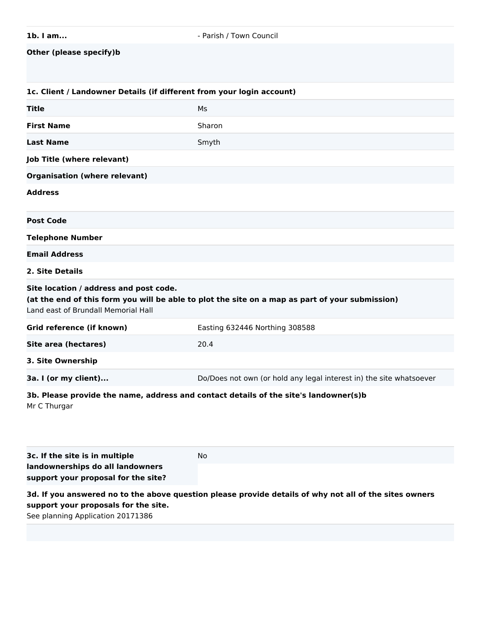## **Other (please specify)b**

### **1c. Client / Landowner Details (if different from your login account)**

| Title                                                                                                                                                                            | Ms                                                                                   |  |
|----------------------------------------------------------------------------------------------------------------------------------------------------------------------------------|--------------------------------------------------------------------------------------|--|
| <b>First Name</b>                                                                                                                                                                | Sharon                                                                               |  |
| <b>Last Name</b>                                                                                                                                                                 | Smyth                                                                                |  |
| Job Title (where relevant)                                                                                                                                                       |                                                                                      |  |
| <b>Organisation (where relevant)</b>                                                                                                                                             |                                                                                      |  |
| <b>Address</b>                                                                                                                                                                   |                                                                                      |  |
| <b>Post Code</b>                                                                                                                                                                 |                                                                                      |  |
| <b>Telephone Number</b>                                                                                                                                                          |                                                                                      |  |
| <b>Email Address</b>                                                                                                                                                             |                                                                                      |  |
| 2. Site Details                                                                                                                                                                  |                                                                                      |  |
| Site location / address and post code.<br>(at the end of this form you will be able to plot the site on a map as part of your submission)<br>Land east of Brundall Memorial Hall |                                                                                      |  |
| Grid reference (if known)                                                                                                                                                        | Easting 632446 Northing 308588                                                       |  |
| Site area (hectares)                                                                                                                                                             | 20.4                                                                                 |  |
| 3. Site Ownership                                                                                                                                                                |                                                                                      |  |
| 3a. I (or my client)                                                                                                                                                             | Do/Does not own (or hold any legal interest in) the site whatsoever                  |  |
| Mr C Thurgar                                                                                                                                                                     | 3b. Please provide the name, address and contact details of the site's landowner(s)b |  |

**3c. If the site is in multiple landownerships do all landowners support your proposal for the site?**

**3d. If you answered no to the above question please provide details of why not all of the sites owners support your proposals for the site.**

No

See planning Application 20171386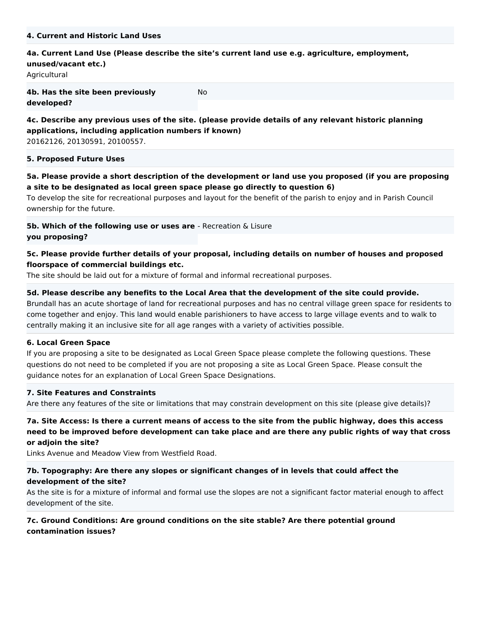### **4a. Current Land Use (Please describe the site's current land use e.g. agriculture, employment,**

No

| unused/vacant etc.) |  |
|---------------------|--|
|---------------------|--|

Agricultural

**4b. Has the site been previously developed?**

## **4c. Describe any previous uses of the site. (please provide details of any relevant historic planning applications, including application numbers if known)**

20162126, 20130591, 20100557.

#### **5. Proposed Future Uses**

**5a. Please provide a short description of the development or land use you proposed (if you are proposing a site to be designated as local green space please go directly to question 6)**

To develop the site for recreational purposes and layout for the benefit of the parish to enjoy and in Parish Council ownership for the future.

**5b. Which of the following use or uses are** - Recreation & Lisure **you proposing?**

## **5c. Please provide further details of your proposal, including details on number of houses and proposed floorspace of commercial buildings etc.**

The site should be laid out for a mixture of formal and informal recreational purposes.

### **5d. Please describe any benefits to the Local Area that the development of the site could provide.**

Brundall has an acute shortage of land for recreational purposes and has no central village green space for residents to come together and enjoy. This land would enable parishioners to have access to large village events and to walk to centrally making it an inclusive site for all age ranges with a variety of activities possible.

### **6. Local Green Space**

If you are proposing a site to be designated as Local Green Space please complete the following questions. These questions do not need to be completed if you are not proposing a site as Local Green Space. Please consult the guidance notes for an explanation of Local Green Space Designations.

### **7. Site Features and Constraints**

Are there any features of the site or limitations that may constrain development on this site (please give details)?

# **7a. Site Access: Is there a current means of access to the site from the public highway, does this access need to be improved before development can take place and are there any public rights of way that cross or adjoin the site?**

Links Avenue and Meadow View from Westfield Road.

### **7b. Topography: Are there any slopes or significant changes of in levels that could affect the development of the site?**

As the site is for a mixture of informal and formal use the slopes are not a significant factor material enough to affect development of the site.

## **7c. Ground Conditions: Are ground conditions on the site stable? Are there potential ground contamination issues?**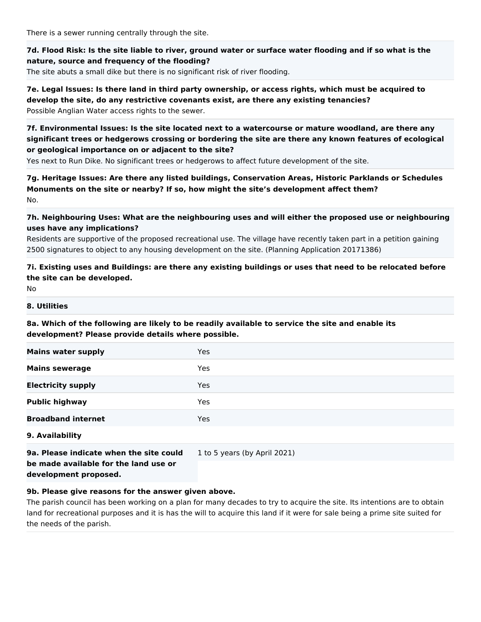There is a sewer running centrally through the site.

**7d. Flood Risk: Is the site liable to river, ground water or surface water flooding and if so what is the nature, source and frequency of the flooding?**

The site abuts a small dike but there is no significant risk of river flooding.

**7e. Legal Issues: Is there land in third party ownership, or access rights, which must be acquired to develop the site, do any restrictive covenants exist, are there any existing tenancies?** Possible Anglian Water access rights to the sewer.

# **7f. Environmental Issues: Is the site located next to a watercourse or mature woodland, are there any significant trees or hedgerows crossing or bordering the site are there any known features of ecological or geological importance on or adjacent to the site?**

Yes next to Run Dike. No significant trees or hedgerows to affect future development of the site.

**7g. Heritage Issues: Are there any listed buildings, Conservation Areas, Historic Parklands or Schedules Monuments on the site or nearby? If so, how might the site's development affect them?** No.

**7h. Neighbouring Uses: What are the neighbouring uses and will either the proposed use or neighbouring uses have any implications?**

Residents are supportive of the proposed recreational use. The village have recently taken part in a petition gaining 2500 signatures to object to any housing development on the site. (Planning Application 20171386)

**7i. Existing uses and Buildings: are there any existing buildings or uses that need to be relocated before the site can be developed.**

No

### **8. Utilities**

**8a. Which of the following are likely to be readily available to service the site and enable its development? Please provide details where possible.**

| <b>Mains water supply</b> | Yes        |
|---------------------------|------------|
| <b>Mains sewerage</b>     | <b>Yes</b> |
| <b>Electricity supply</b> | Yes        |
| <b>Public highway</b>     | Yes        |
| <b>Broadband internet</b> | <b>Yes</b> |
| 9. Availability           |            |

**9a. Please indicate when the site could be made available for the land use or development proposed.**

1 to 5 years (by April 2021)

### **9b. Please give reasons for the answer given above.**

The parish council has been working on a plan for many decades to try to acquire the site. Its intentions are to obtain land for recreational purposes and it is has the will to acquire this land if it were for sale being a prime site suited for the needs of the parish.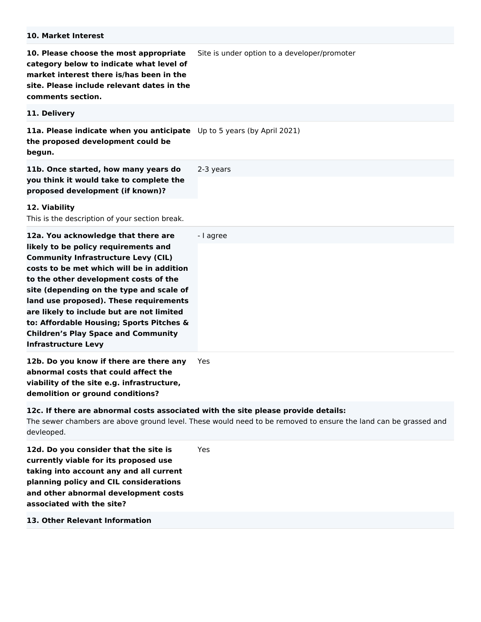| <b>10. Market Interest</b>                                                                                                                                                                                                                                                                                                                                                                                                                                                 |                                              |
|----------------------------------------------------------------------------------------------------------------------------------------------------------------------------------------------------------------------------------------------------------------------------------------------------------------------------------------------------------------------------------------------------------------------------------------------------------------------------|----------------------------------------------|
| 10. Please choose the most appropriate<br>category below to indicate what level of<br>market interest there is/has been in the<br>site. Please include relevant dates in the<br>comments section.                                                                                                                                                                                                                                                                          | Site is under option to a developer/promoter |
| 11. Delivery                                                                                                                                                                                                                                                                                                                                                                                                                                                               |                                              |
| 11a. Please indicate when you anticipate Up to 5 years (by April 2021)<br>the proposed development could be<br>begun.                                                                                                                                                                                                                                                                                                                                                      |                                              |
| 11b. Once started, how many years do<br>you think it would take to complete the<br>proposed development (if known)?                                                                                                                                                                                                                                                                                                                                                        | 2-3 years                                    |
| 12. Viability<br>This is the description of your section break.                                                                                                                                                                                                                                                                                                                                                                                                            |                                              |
| 12a. You acknowledge that there are<br>likely to be policy requirements and<br><b>Community Infrastructure Levy (CIL)</b><br>costs to be met which will be in addition<br>to the other development costs of the<br>site (depending on the type and scale of<br>land use proposed). These requirements<br>are likely to include but are not limited<br>to: Affordable Housing; Sports Pitches &<br><b>Children's Play Space and Community</b><br><b>Infrastructure Levy</b> | - I agree                                    |
| 12b. Do you know if there are there any<br>abnormal costs that could affect the<br>viability of the site e.g. infrastructure,<br>demolition or ground conditions?                                                                                                                                                                                                                                                                                                          | Yes                                          |
| 12c. If there are abnormal costs associated with the site please provide details:<br>The sewer chambers are above ground level. These would need to be removed to ensure the land can be grassed and<br>devleoped.                                                                                                                                                                                                                                                         |                                              |
| 12d. Do you consider that the site is<br>currently viable for its proposed use<br>taking into account any and all current<br>planning policy and CIL considerations<br>and other abnormal development costs                                                                                                                                                                                                                                                                | Yes                                          |

**associated with the site?**

**13. Other Relevant Information**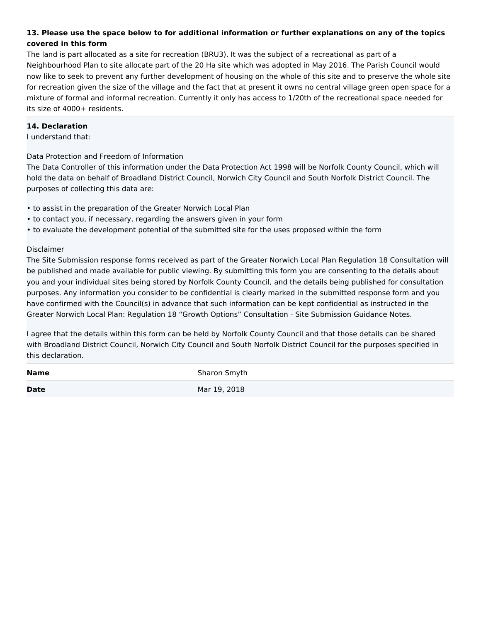# **13. Please use the space below to for additional information or further explanations on any of the topics covered in this form**

The land is part allocated as a site for recreation (BRU3). It was the subject of a recreational as part of a Neighbourhood Plan to site allocate part of the 20 Ha site which was adopted in May 2016. The Parish Council would now like to seek to prevent any further development of housing on the whole of this site and to preserve the whole site for recreation given the size of the village and the fact that at present it owns no central village green open space for a mixture of formal and informal recreation. Currently it only has access to 1/20th of the recreational space needed for its size of 4000+ residents.

### **14. Declaration**

I understand that:

Data Protection and Freedom of Information

The Data Controller of this information under the Data Protection Act 1998 will be Norfolk County Council, which will hold the data on behalf of Broadland District Council, Norwich City Council and South Norfolk District Council. The purposes of collecting this data are:

• to assist in the preparation of the Greater Norwich Local Plan

- to contact you, if necessary, regarding the answers given in your form
- to evaluate the development potential of the submitted site for the uses proposed within the form

### Disclaimer

The Site Submission response forms received as part of the Greater Norwich Local Plan Regulation 18 Consultation will be published and made available for public viewing. By submitting this form you are consenting to the details about you and your individual sites being stored by Norfolk County Council, and the details being published for consultation purposes. Any information you consider to be confidential is clearly marked in the submitted response form and you have confirmed with the Council(s) in advance that such information can be kept confidential as instructed in the Greater Norwich Local Plan: Regulation 18 "Growth Options" Consultation - Site Submission Guidance Notes.

I agree that the details within this form can be held by Norfolk County Council and that those details can be shared with Broadland District Council, Norwich City Council and South Norfolk District Council for the purposes specified in this declaration.

| <b>Name</b> | Sharon Smyth |
|-------------|--------------|
| <b>Date</b> | Mar 19, 2018 |